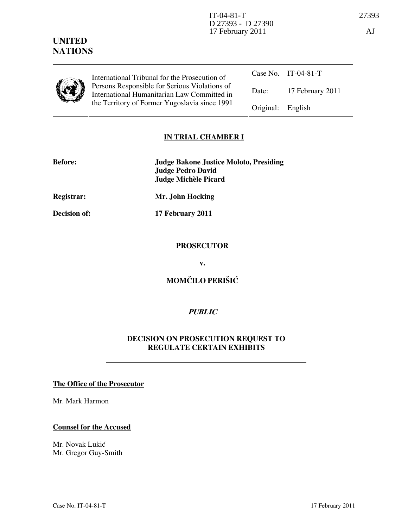# UNITED **NATIONS**

|  | International Tribunal for the Prosecution of<br>Persons Responsible for Serious Violations of<br>International Humanitarian Law Committed in<br>the Territory of Former Yugoslavia since 1991 |                   | Case No. IT-04-81-T |
|--|------------------------------------------------------------------------------------------------------------------------------------------------------------------------------------------------|-------------------|---------------------|
|  |                                                                                                                                                                                                | Date:             | 17 February 2011    |
|  |                                                                                                                                                                                                | Original: English |                     |

# IN TRIAL CHAMBER I

| <b>Before:</b> | <b>Judge Bakone Justice Moloto, Presiding</b> |
|----------------|-----------------------------------------------|
|                | Judge Pedro David                             |
|                | Judge Michèle Picard                          |

Registrar: Mr. John Hocking

Decision of: 17 February 2011

## **PROSECUTOR**

v.

# MOMČILO PERIŠIĆ

# **PUBLIC**

# DECISION ON PROSECUTION REQUEST TO REGULATE CERTAIN EXHIBITS

### The Office of the Prosecutor

Mr. Mark Harmon

### Counsel for the Accused

Mr. Novak Lukić Mr. Gregor Guy-Smith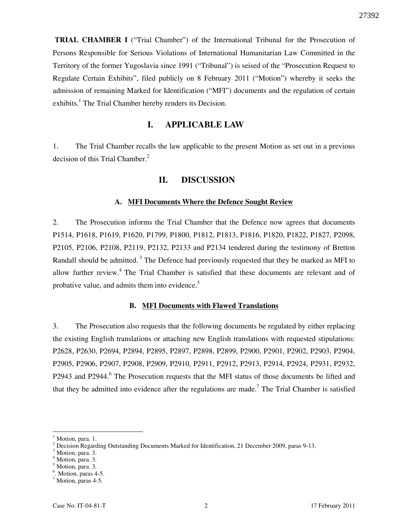TRIAL CHAMBER I ("Trial Chamber") of the International Tribunal for the Prosecution of Persons Responsible for Serious Violations of International Humanitarian Law Committed in the Territory of the former Yugoslavia since 1991 ("Tribunal") is seised of the "Prosecution Request to Regulate Certain Exhibits", filed publicly on 8 February 2011 ("Motion") whereby it seeks the admission of remaining Marked for Identification ("MFI") documents and the regulation of certain exhibits.<sup>1</sup> The Trial Chamber hereby renders its Decision.

# I. APPLICABLE LAW

1. The Trial Chamber recalls the law applicable to the present Motion as set out in a previous decision of this Trial Chamber. $<sup>2</sup>$ </sup>

## II. DISCUSSION

#### A. MFI Documents Where the Defence Sought Review

2. The Prosecution informs the Trial Chamber that the Defence now agrees that documents P1514, P1618, P1619, P1620, P1799, P1800, P1812, P1813, P1816, P1820, P1822, P1827, P2098, P2105, P2106, P2108, P2119, P2132, P2133 and P2134 tendered during the testimony of Bretton Randall should be admitted.<sup>3</sup> The Defence had previously requested that they be marked as MFI to allow further review.<sup>4</sup> The Trial Chamber is satisfied that these documents are relevant and of probative value, and admits them into evidence.<sup>5</sup>

#### B. MFI Documents with Flawed Translations

3. The Prosecution also requests that the following documents be regulated by either replacing the existing English translations or attaching new English translations with requested stipulations: P2628, P2630, P2694, P2894, P2895, P2897, P2898, P2899, P2900, P2901, P2902, P2903, P2904, P2905, P2906, P2907, P2908, P2909, P2910, P2911, P2912, P2913, P2914, P2924, P2931, P2932, P2943 and P2944.<sup>6</sup> The Prosecution requests that the MFI status of those documents be lifted and that they be admitted into evidence after the regulations are made.<sup>7</sup> The Trial Chamber is satisfied

 $\overline{a}$ 

5 Motion, para. 3.

<sup>1</sup> Motion, para. 1.

 $^2$  Decision Regarding Outstanding Documents Marked for Identification, 21 December 2009, paras 9-13.<br><sup>3</sup> Motion name <sup>2</sup>

Motion, para. 3.

<sup>4</sup> Motion, para. 3.

<sup>6</sup> . Motion, paras 4-5.

<sup>7</sup> Motion, paras 4-5.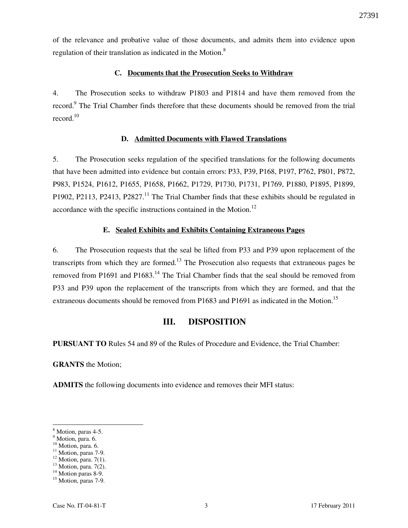of the relevance and probative value of those documents, and admits them into evidence upon regulation of their translation as indicated in the Motion. $8<sup>8</sup>$ 

### C. Documents that the Prosecution Seeks to Withdraw

4. The Prosecution seeks to withdraw P1803 and P1814 and have them removed from the record.<sup>9</sup> The Trial Chamber finds therefore that these documents should be removed from the trial record. $10$ 

### D. Admitted Documents with Flawed Translations

5. The Prosecution seeks regulation of the specified translations for the following documents that have been admitted into evidence but contain errors: P33, P39, P168, P197, P762, P801, P872, P983, P1524, P1612, P1655, P1658, P1662, P1729, P1730, P1731, P1769, P1880, P1895, P1899, P1902, P2113, P2413, P2827.<sup>11</sup> The Trial Chamber finds that these exhibits should be regulated in accordance with the specific instructions contained in the Motion.<sup>12</sup>

### E. Sealed Exhibits and Exhibits Containing Extraneous Pages

6. The Prosecution requests that the seal be lifted from P33 and P39 upon replacement of the transcripts from which they are formed.<sup>13</sup> The Prosecution also requests that extraneous pages be removed from P1691 and P1683.<sup>14</sup> The Trial Chamber finds that the seal should be removed from P33 and P39 upon the replacement of the transcripts from which they are formed, and that the extraneous documents should be removed from P1683 and P1691 as indicated in the Motion.<sup>15</sup>

# III. DISPOSITION

PURSUANT TO Rules 54 and 89 of the Rules of Procedure and Evidence, the Trial Chamber:

GRANTS the Motion;

ADMITS the following documents into evidence and removes their MFI status:

 $\overline{a}$ 

<sup>10</sup> Motion, para. 6.

<sup>8</sup> Motion, paras 4-5.

<sup>&</sup>lt;sup>9</sup> Motion, para. 6.

<sup>&</sup>lt;sup>11</sup> Motion, paras 7-9.

 $12$  Motion, para. 7(1).

 $13$  Motion, para. 7(2). <sup>14</sup> Motion paras 8-9.

<sup>&</sup>lt;sup>15</sup> Motion, paras 7-9.